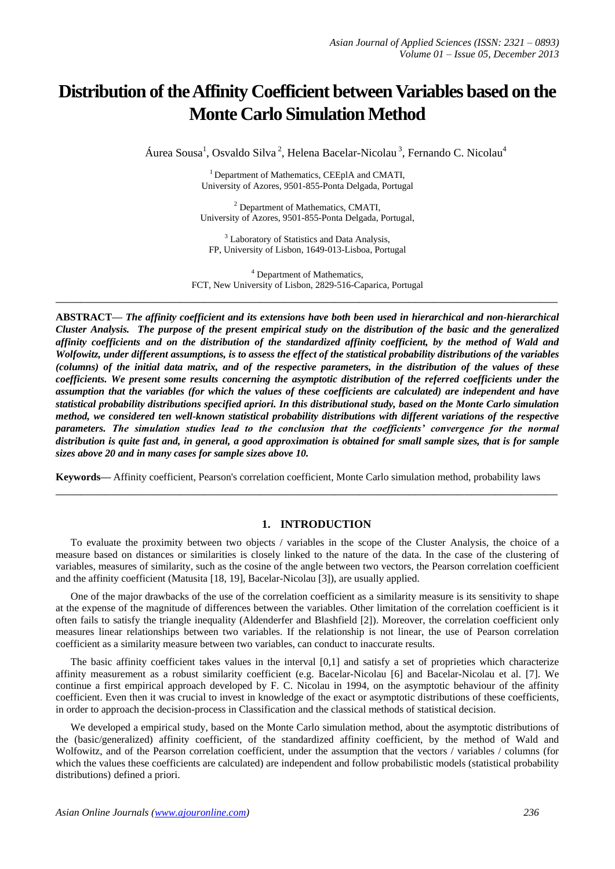# **Distribution of the Affinity Coefficient between Variables based on the Monte Carlo Simulation Method**

Áurea Sousa<sup>1</sup>, Osvaldo Silva<sup>2</sup>, Helena Bacelar-Nicolau<sup>3</sup>, Fernando C. Nicolau<sup>4</sup>

<sup>1</sup> Department of Mathematics, CEEplA and CMATI, University of Azores, 9501-855-Ponta Delgada, Portugal

 $<sup>2</sup>$  Department of Mathematics, CMATI,</sup> University of Azores, 9501-855-Ponta Delgada, Portugal,

<sup>3</sup> Laboratory of Statistics and Data Analysis, FP, University of Lisbon, 1649-013-Lisboa, Portugal

<sup>4</sup> Department of Mathematics, FCT, New University of Lisbon, 2829-516-Caparica, Portugal **\_\_\_\_\_\_\_\_\_\_\_\_\_\_\_\_\_\_\_\_\_\_\_\_\_\_\_\_\_\_\_\_\_\_\_\_\_\_\_\_\_\_\_\_\_\_\_\_\_\_\_\_\_\_\_\_\_\_\_\_\_\_\_\_\_\_\_\_\_\_\_\_\_\_\_\_\_\_\_\_\_**

**ABSTRACT—** *The affinity coefficient and its extensions have both been used in hierarchical and non-hierarchical Cluster Analysis. The purpose of the present empirical study on the distribution of the basic and the generalized affinity coefficients and on the distribution of the standardized affinity coefficient, by the method of Wald and Wolfowitz, under different assumptions, is to assess the effect of the statistical probability distributions of the variables (columns) of the initial data matrix, and of the respective parameters, in the distribution of the values of these coefficients. We present some results concerning the asymptotic distribution of the referred coefficients under the assumption that the variables (for which the values of these coefficients are calculated) are independent and have statistical probability distributions specified apriori. In this distributional study, based on the Monte Carlo simulation method, we considered ten well-known statistical probability distributions with different variations of the respective parameters. The simulation studies lead to the conclusion that the coefficients' convergence for the normal distribution is quite fast and, in general, a good approximation is obtained for small sample sizes, that is for sample sizes above 20 and in many cases for sample sizes above 10.*

**Keywords—** Affinity coefficient, Pearson's correlation coefficient, Monte Carlo simulation method, probability laws

**\_\_\_\_\_\_\_\_\_\_\_\_\_\_\_\_\_\_\_\_\_\_\_\_\_\_\_\_\_\_\_\_\_\_\_\_\_\_\_\_\_\_\_\_\_\_\_\_\_\_\_\_\_\_\_\_\_\_\_\_\_\_\_\_\_\_\_\_\_\_\_\_\_\_\_\_\_\_\_\_\_**

## **1. INTRODUCTION**

To evaluate the proximity between two objects / variables in the scope of the Cluster Analysis, the choice of a measure based on distances or similarities is closely linked to the nature of the data. In the case of the clustering of variables, measures of similarity, such as the cosine of the angle between two vectors, the Pearson correlation coefficient and the affinity coefficient (Matusita [18, 19], Bacelar-Nicolau [3]), are usually applied.

One of the major drawbacks of the use of the correlation coefficient as a similarity measure is its sensitivity to shape at the expense of the magnitude of differences between the variables. Other limitation of the correlation coefficient is it often fails to satisfy the triangle inequality (Aldenderfer and Blashfield [2]). Moreover, the correlation coefficient only measures linear relationships between two variables. If the relationship is not linear, the use of Pearson correlation coefficient as a similarity measure between two variables, can conduct to inaccurate results.

The basic affinity coefficient takes values in the interval [0,1] and satisfy a set of proprieties which characterize affinity measurement as a robust similarity coefficient (e.g. Bacelar-Nicolau [6] and Bacelar-Nicolau et al. [7]. We continue a first empirical approach developed by F. C. Nicolau in 1994, on the asymptotic behaviour of the affinity coefficient. Even then it was crucial to invest in knowledge of the exact or asymptotic distributions of these coefficients, in order to approach the decision-process in Classification and the classical methods of statistical decision.

We developed a empirical study, based on the Monte Carlo simulation method, about the asymptotic distributions of the (basic/generalized) affinity coefficient, of the standardized affinity coefficient, by the method of Wald and Wolfowitz, and of the Pearson correlation coefficient, under the assumption that the vectors / variables / columns (for which the values these coefficients are calculated) are independent and follow probabilistic models (statistical probability distributions) defined a priori.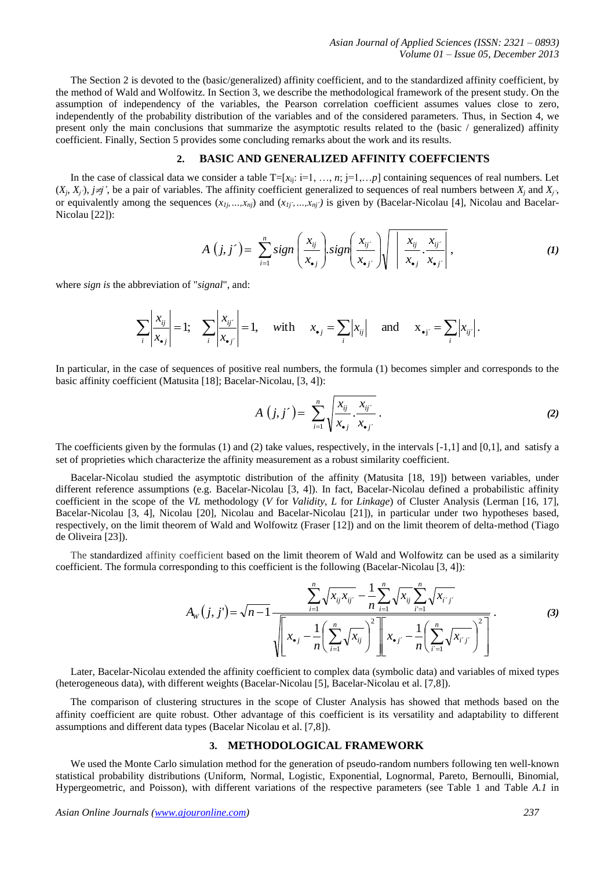The Section 2 is devoted to the (basic/generalized) affinity coefficient, and to the standardized affinity coefficient, by the method of Wald and Wolfowitz. In Section 3, we describe the methodological framework of the present study. On the assumption of independency of the variables, the Pearson correlation coefficient assumes values close to zero, independently of the probability distribution of the variables and of the considered parameters. Thus, in Section 4, we present only the main conclusions that summarize the asymptotic results related to the (basic / generalized) affinity coefficient. Finally, Section 5 provides some concluding remarks about the work and its results.

## **2. BASIC AND GENERALIZED AFFINITY COEFFCIENTS**

In the case of classical data we consider a table  $T=[x_{ji}: i=1, ..., n; j=1,...,p]$  containing sequences of real numbers. Let  $(X_i, X_j)$ ,  $j \neq j'$ , be a pair of variables. The affinity coefficient generalized to sequences of real numbers between  $X_j$  and  $X_j$ . or equivalently among the sequences  $(x_{1j},...,x_{nj})$  and  $(x_{1j},...,x_{nj})$  is given by (Bacelar-Nicolau [4], Nicolau and Bacelar-Nicolau [22]):

$$
A(j, j') = \sum_{i=1}^{n} sign\left(\frac{x_{ij}}{x_{\bullet j}}\right) sign\left(\frac{x_{ij'}}{x_{\bullet j'}}\right)\sqrt{\left|\frac{x_{ij}}{x_{\bullet j}} \cdot \frac{x_{ij'}}{x_{\bullet j'}}\right|},\tag{1}
$$

where *sign is* the abbreviation of "*signal*", and:

$$
\sum_{i} \left| \frac{x_{ij}}{x_{\bullet j}} \right| = 1; \quad \sum_{i} \left| \frac{x_{ij'}}{x_{\bullet j'}} \right| = 1, \quad \text{with} \quad x_{\bullet j} = \sum_{i} \left| x_{ij} \right| \quad \text{and} \quad x_{\bullet j'} = \sum_{i} \left| x_{ij'} \right|.
$$

In particular, in the case of sequences of positive real numbers, the formula (1) becomes simpler and corresponds to the basic affinity coefficient (Matusita [18]; Bacelar-Nicolau, [3, 4]):

$$
A(j, j') = \sum_{i=1}^{n} \sqrt{\frac{x_{ij}}{x_{\bullet j}} \cdot \frac{x_{ij'}}{x_{\bullet j'}}}. \tag{2}
$$

The coefficients given by the formulas (1) and (2) take values, respectively, in the intervals [-1,1] and [0,1], and satisfy a set of proprieties which characterize the affinity measurement as a robust similarity coefficient.

Bacelar-Nicolau studied the asymptotic distribution of the affinity (Matusita [18, 19]) between variables, under different reference assumptions (e.g. Bacelar-Nicolau [3, 4]). In fact, Bacelar-Nicolau defined a probabilistic affinity coefficient in the scope of the *VL* methodology (*V* for *Validity*, *L* for *Linkage*) of Cluster Analysis (Lerman [16, 17], Bacelar-Nicolau [3, 4], Nicolau [20], Nicolau and Bacelar-Nicolau [21]), in particular under two hypotheses based, respectively, on the limit theorem of Wald and Wolfowitz (Fraser [12]) and on the limit theorem of delta-method (Tiago de Oliveira [23]).

The standardized affinity coefficient based on the limit theorem of Wald and Wolfowitz can be used as a similarity coefficient. The formula corresponding to this coefficient is the following (Bacelar-Nicolau [3, 4]):

$$
A_{W}(j, j') = \sqrt{n-1} \frac{\sum_{i=1}^{n} \sqrt{x_{ij} x_{ij'}} - \frac{1}{n} \sum_{i=1}^{n} \sqrt{x_{ij}} \sum_{i'=1}^{n} \sqrt{x_{i'j'}}}{\sqrt{\left[x_{\bullet j} - \frac{1}{n} \left(\sum_{i=1}^{n} \sqrt{x_{ij}}\right)^{2}\right] \left[x_{\bullet j'} - \frac{1}{n} \left(\sum_{i'=1}^{n} \sqrt{x_{i'j'}}\right)^{2}\right]}}.
$$
 (3)

Later, Bacelar-Nicolau extended the affinity coefficient to complex data (symbolic data) and variables of mixed types (heterogeneous data), with different weights (Bacelar-Nicolau [5], Bacelar-Nicolau et al. [7,8]).

The comparison of clustering structures in the scope of Cluster Analysis has showed that methods based on the affinity coefficient are quite robust. Other advantage of this coefficient is its versatility and adaptability to different assumptions and different data types (Bacelar Nicolau et al. [7,8]).

### **3. METHODOLOGICAL FRAMEWORK**

We used the Monte Carlo simulation method for the generation of pseudo-random numbers following ten well-known statistical probability distributions (Uniform, Normal, Logistic, Exponential, Lognormal, Pareto, Bernoulli, Binomial, Hypergeometric, and Poisson), with different variations of the respective parameters (see Table 1 and Table *A.1* in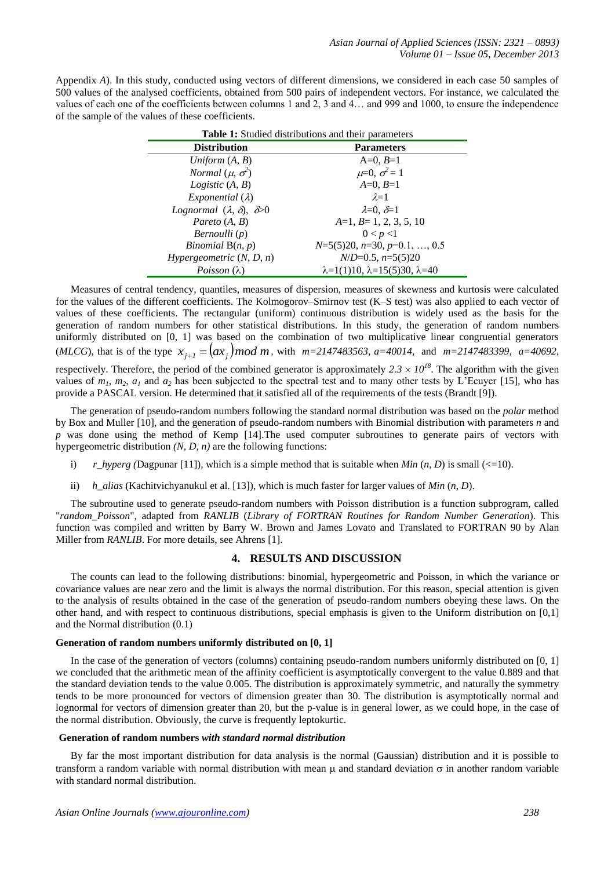Appendix *A*). In this study, conducted using vectors of different dimensions, we considered in each case 50 samples of 500 values of the analysed coefficients, obtained from 500 pairs of independent vectors. For instance, we calculated the values of each one of the coefficients between columns 1 and 2, 3 and 4… and 999 and 1000, to ensure the independence of the sample of the values of these coefficients.

| <b>Table 1:</b> Studied distributions and their parameters |                                                     |  |  |  |
|------------------------------------------------------------|-----------------------------------------------------|--|--|--|
| <b>Distribution</b>                                        | <b>Parameters</b>                                   |  |  |  |
| Uniform $(A, B)$                                           | $A=0, B=1$                                          |  |  |  |
| Normal $(\mu, \sigma^2)$                                   | $\mu=0, \sigma^2=1$                                 |  |  |  |
| <i>Logistic</i> $(A, B)$                                   | $A=0, B=1$                                          |  |  |  |
| <i>Exponential</i> $(\lambda)$                             | $\lambda=1$                                         |  |  |  |
| Lognormal $(\lambda, \delta)$ , $\delta > 0$               | $\lambda=0$ , $\delta=1$                            |  |  |  |
| Pareto $(A, B)$                                            | $A=1, B=1, 2, 3, 5, 10$                             |  |  |  |
| Bernoulli (p)                                              | 0 < p < 1                                           |  |  |  |
| Binomial $B(n, p)$                                         | $N=5(5)20$ , $n=30$ , $p=0.1, \ldots, 0.5$          |  |  |  |
| Hypergeometric $(N, D, n)$                                 | $N/D=0.5$ , $n=5(5)20$                              |  |  |  |
| Poisson $(\lambda)$                                        | $\lambda=1(1)10$ , $\lambda=15(5)30$ , $\lambda=40$ |  |  |  |

Measures of central tendency, quantiles, measures of dispersion, measures of skewness and kurtosis were calculated for the values of the different coefficients. The Kolmogorov–Smirnov test (K–S test) was also applied to each vector of values of these coefficients. The rectangular (uniform) continuous distribution is widely used as the basis for the generation of random numbers for other statistical distributions. In this study, the generation of random numbers uniformly distributed on [0, 1] was based on the combination of two multiplicative linear congruential generators (*MLCG*), that is of the type  $x_{j+1} = (ax_j) \mod m$ , with  $m=2147483563$ ,  $a=40014$ , and  $m=2147483399$ ,  $a=40692$ , respectively. Therefore, the period of the combined generator is approximately  $2.3 \times 10^{18}$ . The algorithm with the given values of  $m_1$ ,  $m_2$ ,  $a_1$  and  $a_2$  has been subjected to the spectral test and to many other tests by L'Ecuyer [15], who has provide a PASCAL version. He determined that it satisfied all of the requirements of the tests (Brandt [9]).

The generation of pseudo-random numbers following the standard normal distribution was based on the *polar* method by Box and Muller [10], and the generation of pseudo-random numbers with Binomial distribution with parameters *n* and *p* was done using the method of Kemp [14]. The used computer subroutines to generate pairs of vectors with hypergeometric distribution *(N, D, n)* are the following functions:

- i)  $r_hyperg$  (Dagpunar [11]), which is a simple method that is suitable when *Min*  $(n, D)$  is small (<=10).
- ii) *h\_alias* (Kachitvichyanukul et al. [13]), which is much faster for larger values of *Min* (*n*, *D*).

The subroutine used to generate pseudo-random numbers with Poisson distribution is a function subprogram, called "*random\_Poisson*", adapted from *RANLIB* (*Library of FORTRAN Routines for Random Number Generation*). This function was compiled and written by Barry W. Brown and James Lovato and Translated to FORTRAN 90 by Alan Miller from *RANLIB*. For more details, see Ahrens [1].

## **4. RESULTS AND DISCUSSION**

The counts can lead to the following distributions: binomial, hypergeometric and Poisson, in which the variance or covariance values are near zero and the limit is always the normal distribution. For this reason, special attention is given to the analysis of results obtained in the case of the generation of pseudo-random numbers obeying these laws. On the other hand, and with respect to continuous distributions, special emphasis is given to the Uniform distribution on [0,1] and the Normal distribution (0.1)

#### **Generation of random numbers uniformly distributed on [0, 1]**

In the case of the generation of vectors (columns) containing pseudo-random numbers uniformly distributed on [0, 1] we concluded that the arithmetic mean of the affinity coefficient is asymptotically convergent to the value 0.889 and that the standard deviation tends to the value 0.005. The distribution is approximately symmetric, and naturally the symmetry tends to be more pronounced for vectors of dimension greater than 30. The distribution is asymptotically normal and lognormal for vectors of dimension greater than 20, but the p-value is in general lower, as we could hope, in the case of the normal distribution. Obviously, the curve is frequently leptokurtic.

#### **Generation of random numbers** *with standard normal distribution*

By far the most important distribution for data analysis is the normal (Gaussian) distribution and it is possible to transform a random variable with normal distribution with mean  $\mu$  and standard deviation  $\sigma$  in another random variable with standard normal distribution.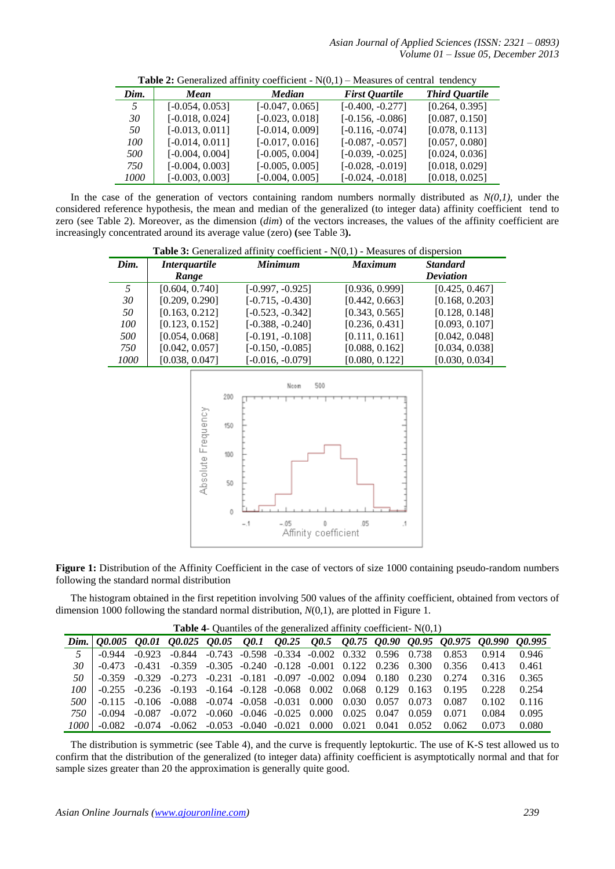*Asian Journal of Applied Sciences (ISSN: 2321 – 0893) Volume 01 – Issue 05, December 2013*

|      | <b>There</b> is concluded all they coolition. $\mathcal{L}(0,1)$ intensities of contrar tendency |                   |                       |                       |  |  |
|------|--------------------------------------------------------------------------------------------------|-------------------|-----------------------|-----------------------|--|--|
| Dim. | Mean                                                                                             | Median            | <b>First Quartile</b> | <b>Third Quartile</b> |  |  |
| 5    | $[-0.054, 0.053]$                                                                                | $[-0.047, 0.065]$ | $[-0.400, -0.277]$    | [0.264, 0.395]        |  |  |
| 30   | $[-0.018, 0.024]$                                                                                | $[-0.023, 0.018]$ | $[-0.156, -0.086]$    | [0.087, 0.150]        |  |  |
| 50   | $[-0.013, 0.011]$                                                                                | $[-0.014, 0.009]$ | $[-0.116, -0.074]$    | [0.078, 0.113]        |  |  |
| 100  | $[-0.014, 0.011]$                                                                                | $[-0.017, 0.016]$ | $[-0.087, -0.057]$    | [0.057, 0.080]        |  |  |
| 500  | $[-0.004, 0.004]$                                                                                | $[-0.005, 0.004]$ | $[-0.039, -0.025]$    | [0.024, 0.036]        |  |  |
| 750  | $[-0.004, 0.003]$                                                                                | $[-0.005, 0.005]$ | $[-0.028, -0.019]$    | [0.018, 0.029]        |  |  |
| 1000 | $[-0.003, 0.003]$                                                                                | $[-0.004, 0.005]$ | $[-0.024, -0.018]$    | [0.018, 0.025]        |  |  |

**Table 2:** Generalized affinity coefficient - N(0,1) – Measures of central tendency

In the case of the generation of vectors containing random numbers normally distributed as  $N(0,1)$ , under the considered reference hypothesis, the mean and median of the generalized (to integer data) affinity coefficient tend to zero (see Table 2). Moreover, as the dimension (*dim*) of the vectors increases, the values of the affinity coefficient are increasingly concentrated around its average value (zero) **(**see Table 3**).**

**Table 3:** Generalized affinity coefficient - N(0,1) - Measures of dispersion

| Dim. | <i>Interquartile</i> | <b>Minimum</b>     | <b>Maximum</b> | <b>Standard</b>  |
|------|----------------------|--------------------|----------------|------------------|
|      | Range                |                    |                | <b>Deviation</b> |
| 5    | [0.604, 0.740]       | $[-0.997, -0.925]$ | [0.936, 0.999] | [0.425, 0.467]   |
| 30   | [0.209, 0.290]       | $[-0.715, -0.430]$ | [0.442, 0.663] | [0.168, 0.203]   |
| 50   | [0.163, 0.212]       | $[-0.523, -0.342]$ | [0.343, 0.565] | [0.128, 0.148]   |
| 100  | [0.123, 0.152]       | $[-0.388, -0.240]$ | [0.236, 0.431] | [0.093, 0.107]   |
| 500  | [0.054, 0.068]       | $[-0.191, -0.108]$ | [0.111, 0.161] | [0.042, 0.048]   |
| 750  | [0.042, 0.057]       | $[-0.150, -0.085]$ | [0.088, 0.162] | [0.034, 0.038]   |
| 1000 | [0.038, 0.047]       | $[-0.016, -0.079]$ | [0.080, 0.122] | [0.030, 0.034]   |



**Figure 1:** Distribution of the Affinity Coefficient in the case of vectors of size 1000 containing pseudo-random numbers following the standard normal distribution

The histogram obtained in the first repetition involving 500 values of the affinity coefficient, obtained from vectors of dimension 1000 following the standard normal distribution, *N*(0,1), are plotted in Figure 1.

|       | <b>Table 4-</b> Qualities of the generalized all line coefficient- $N(0,1)$ |          |                                                                                               |  |  |  |  |             |       |       |                                                                                          |       |
|-------|-----------------------------------------------------------------------------|----------|-----------------------------------------------------------------------------------------------|--|--|--|--|-------------|-------|-------|------------------------------------------------------------------------------------------|-------|
|       |                                                                             |          |                                                                                               |  |  |  |  |             |       |       | Dim. 0.0005 0.001 0.0025 0.005 0.01 0.025 0.05 0.075 0.090 0.095 0.0.975 0.0.990 0.0.995 |       |
| 5.    | $-0.944$                                                                    |          | $-0.923$ $-0.844$ $-0.743$ $-0.598$ $-0.334$ $-0.002$ $0.332$ $0.596$ $0.738$ $0.853$         |  |  |  |  |             |       |       | 0.914                                                                                    | 0.946 |
| 30    | $-0.473$                                                                    | $-0.431$ | $-0.359$ $-0.305$ $-0.240$ $-0.128$ $-0.001$ $0.122$ $0.236$ $0.300$ $0.356$                  |  |  |  |  |             |       |       | 0.413                                                                                    | 0.461 |
| 50    | $-0.359$                                                                    |          | $-0.329$ $-0.273$ $-0.231$ $-0.181$ $-0.097$ $-0.002$ $0.094$ $0.180$ $0.230$                 |  |  |  |  |             |       | 0.274 | 0.316                                                                                    | 0.365 |
| 100-  |                                                                             |          | $-0.255$ $-0.236$ $-0.193$ $-0.164$ $-0.128$ $-0.068$ $0.002$ $0.068$ $0.129$ $0.163$ $0.195$ |  |  |  |  |             |       |       | 0.228                                                                                    | 0.254 |
| 500 L |                                                                             |          | $-0.115$ $-0.106$ $-0.088$ $-0.074$ $-0.058$ $-0.031$ $0.000$ $0.030$ $0.057$ $0.073$         |  |  |  |  |             |       | 0.087 | 0.102                                                                                    | 0.116 |
| 750 I | $-0.094$                                                                    | -0.087   | $-0.072$ $-0.060$ $-0.046$ $-0.025$ $0.000$                                                   |  |  |  |  | 0.025 0.047 | 0.059 | 0.071 | 0.084                                                                                    | 0.095 |
| 1000  |                                                                             |          | $-0.082$ $-0.074$ $-0.062$ $-0.053$ $-0.040$ $-0.021$ $0.000$                                 |  |  |  |  | 0.021 0.041 | 0.052 | 0.062 | 0.073                                                                                    | 0.080 |

**Table 4**- Quantiles of the generalized affinity coefficient- N(0,1)

The distribution is symmetric (see Table 4), and the curve is frequently leptokurtic. The use of K-S test allowed us to confirm that the distribution of the generalized (to integer data) affinity coefficient is asymptotically normal and that for sample sizes greater than 20 the approximation is generally quite good.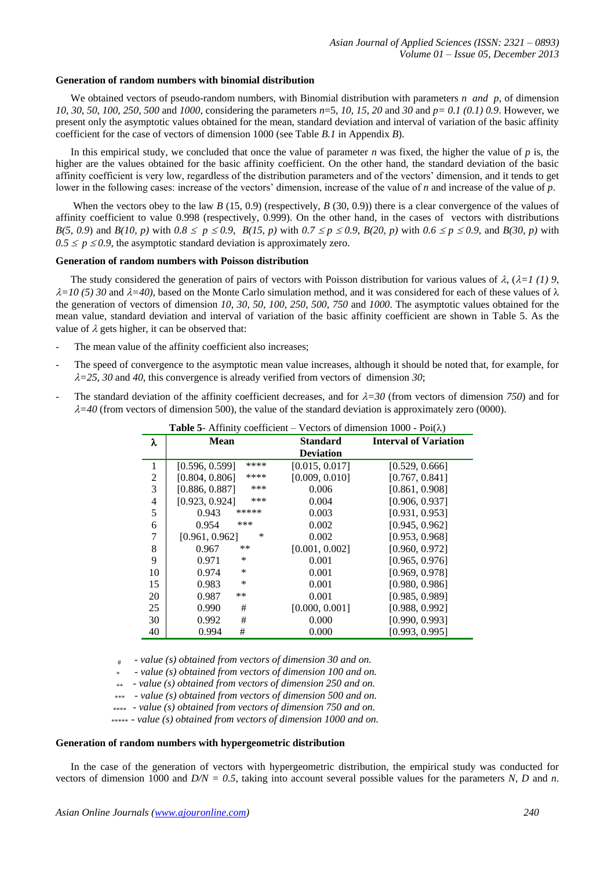#### **Generation of random numbers with binomial distribution**

We obtained vectors of pseudo-random numbers, with Binomial distribution with parameters *n and p*, of dimension *10*, *30*, *50*, *100*, *250*, *500* and *1000*, considering the parameters *n*=5, *10*, *15*, *20* and *30* and *p= 0.1 (0.1) 0.9*. However, we present only the asymptotic values obtained for the mean, standard deviation and interval of variation of the basic affinity coefficient for the case of vectors of dimension 1000 (see Table *B.1* in Appendix *B*).

In this empirical study, we concluded that once the value of parameter *n* was fixed, the higher the value of  $p$  is, the higher are the values obtained for the basic affinity coefficient. On the other hand, the standard deviation of the basic affinity coefficient is very low, regardless of the distribution parameters and of the vectors' dimension, and it tends to get lower in the following cases: increase of the vectors' dimension, increase of the value of *n* and increase of the value of *p*.

When the vectors obey to the law *B* (15, 0.9) (respectively, *B* (30, 0.9)) there is a clear convergence of the values of affinity coefficient to value 0.998 (respectively, 0.999). On the other hand, in the cases of vectors with distributions *B*(5, 0.9) and *B*(10, *p*) with 0.8  $\leq p \leq 0.9$ , *B*(15, *p*) with 0.7  $\leq p \leq 0.9$ , *B*(20, *p*) with 0.6  $\leq p \leq 0.9$ , and *B*(30, *p*) with  $0.5 \le p \le 0.9$ , the asymptotic standard deviation is approximately zero.

## **Generation of random numbers with Poisson distribution**

The study considered the generation of pairs of vectors with Poisson distribution for various values of  $\lambda$ , ( $\lambda=1$  (1) 9,  $\lambda = 10$  (5) 30 and  $\lambda = 40$ ), based on the Monte Carlo simulation method, and it was considered for each of these values of  $\lambda$ the generation of vectors of dimension *10*, *30*, *50*, *100*, *250*, *500*, *750* and *1000*. The asymptotic values obtained for the mean value, standard deviation and interval of variation of the basic affinity coefficient are shown in Table 5. As the value of  $\lambda$  gets higher, it can be observed that:

- The mean value of the affinity coefficient also increases;
- The speed of convergence to the asymptotic mean value increases, although it should be noted that, for example, for  $\lambda = 25$ , 30 and 40, this convergence is already verified from vectors of dimension 30;
- The standard deviation of the affinity coefficient decreases, and for  $\lambda = 30$  (from vectors of dimension 750) and for  $\lambda = 40$  (from vectors of dimension 500), the value of the standard deviation is approximately zero (0000).

|                | <b>Table 5-</b> Allimity coefficient – vectors of dimension 1000 - $P01(\lambda)$ |                  |                              |  |  |  |
|----------------|-----------------------------------------------------------------------------------|------------------|------------------------------|--|--|--|
| λ              | <b>Mean</b>                                                                       | <b>Standard</b>  | <b>Interval of Variation</b> |  |  |  |
|                |                                                                                   | <b>Deviation</b> |                              |  |  |  |
| 1              | ****<br>[0.596, 0.599]                                                            | [0.015, 0.017]   | [0.529, 0.666]               |  |  |  |
| $\overline{c}$ | ****<br>[0.804, 0.806]                                                            | [0.009, 0.010]   | [0.767, 0.841]               |  |  |  |
| 3              | ***<br>[0.886, 0.887]                                                             | 0.006            | [0.861, 0.908]               |  |  |  |
| 4              | [0.923, 0.924]<br>***                                                             | 0.004            | [0.906, 0.937]               |  |  |  |
| 5              | *****<br>0.943                                                                    | 0.003            | [0.931, 0.953]               |  |  |  |
| 6              | ***<br>0.954                                                                      | 0.002            | [0.945, 0.962]               |  |  |  |
| 7              | $\ast$<br>[0.961, 0.962]                                                          | 0.002            | [0.953, 0.968]               |  |  |  |
| 8              | $**$<br>0.967                                                                     | [0.001, 0.002]   | [0.960, 0.972]               |  |  |  |
| 9              | ∗<br>0.971                                                                        | 0.001            | [0.965, 0.976]               |  |  |  |
| 10             | ∗<br>0.974                                                                        | 0.001            | [0.969, 0.978]               |  |  |  |
| 15             | $\ast$<br>0.983                                                                   | 0.001            | [0.980, 0.986]               |  |  |  |
| 20             | $***$<br>0.987                                                                    | 0.001            | [0.985, 0.989]               |  |  |  |
| 25             | #<br>0.990                                                                        | [0.000, 0.001]   | [0.988, 0.992]               |  |  |  |
| 30             | #<br>0.992                                                                        | 0.000            | [0.990, 0.993]               |  |  |  |
| 40             | #<br>0.994                                                                        | 0.000            | [0.993, 0.995]               |  |  |  |

**Table 5**- Affinity coefficient – Vectors of dimension 1000 - Poi()

# - *value (s) obtained from vectors of dimension 30 and on.*

 *\** - *value (s) obtained from vectors of dimension 100 and on.*

 *\*\** - *value (s) obtained from vectors of dimension 250 and on.*

 *\*\*\** - *value (s) obtained from vectors of dimension 500 and on.*

 *\*\*\*\** - *value (s) obtained from vectors of dimension 750 and on.*

 *\*\*\*\*\** - *value (s) obtained from vectors of dimension 1000 and on.*

#### **Generation of random numbers with hypergeometric distribution**

In the case of the generation of vectors with hypergeometric distribution, the empirical study was conducted for vectors of dimension 1000 and  $D/N = 0.5$ , taking into account several possible values for the parameters *N*, *D* and *n*.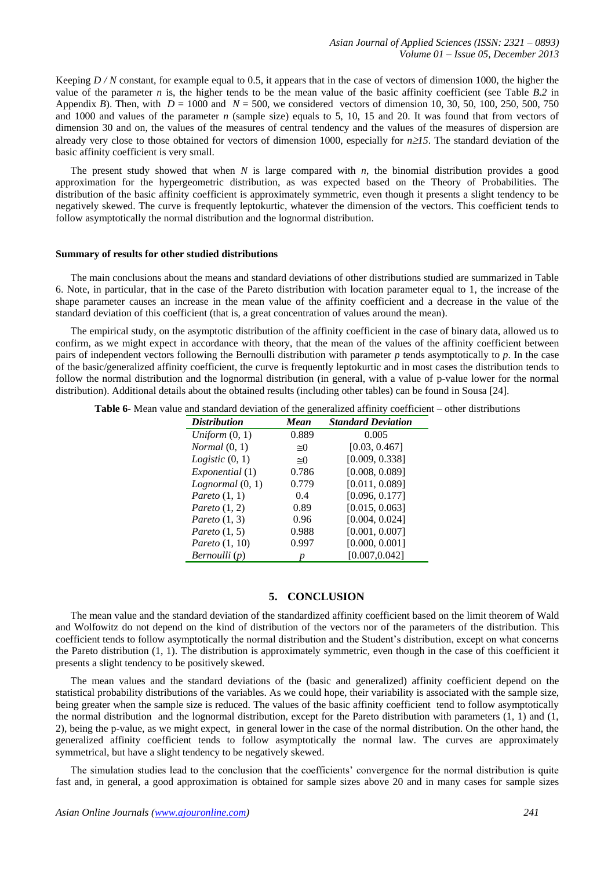Keeping *D / N* constant, for example equal to 0.5, it appears that in the case of vectors of dimension 1000, the higher the value of the parameter *n* is, the higher tends to be the mean value of the basic affinity coefficient (see Table *B.2* in Appendix *B*). Then, with  $D = 1000$  and  $N = 500$ , we considered vectors of dimension 10, 30, 50, 100, 250, 500, 750 and 1000 and values of the parameter *n* (sample size) equals to 5, 10, 15 and 20. It was found that from vectors of dimension 30 and on, the values of the measures of central tendency and the values of the measures of dispersion are already very close to those obtained for vectors of dimension 1000, especially for *n15*. The standard deviation of the basic affinity coefficient is very small.

The present study showed that when *N* is large compared with *n*, the binomial distribution provides a good approximation for the hypergeometric distribution, as was expected based on the Theory of Probabilities. The distribution of the basic affinity coefficient is approximately symmetric, even though it presents a slight tendency to be negatively skewed. The curve is frequently leptokurtic, whatever the dimension of the vectors. This coefficient tends to follow asymptotically the normal distribution and the lognormal distribution.

### **Summary of results for other studied distributions**

The main conclusions about the means and standard deviations of other distributions studied are summarized in Table 6. Note, in particular, that in the case of the Pareto distribution with location parameter equal to 1, the increase of the shape parameter causes an increase in the mean value of the affinity coefficient and a decrease in the value of the standard deviation of this coefficient (that is, a great concentration of values around the mean).

The empirical study, on the asymptotic distribution of the affinity coefficient in the case of binary data, allowed us to confirm, as we might expect in accordance with theory, that the mean of the values of the affinity coefficient between pairs of independent vectors following the Bernoulli distribution with parameter *p* tends asymptotically to *p*. In the case of the basic/generalized affinity coefficient, the curve is frequently leptokurtic and in most cases the distribution tends to follow the normal distribution and the lognormal distribution (in general, with a value of p-value lower for the normal distribution). Additional details about the obtained results (including other tables) can be found in Sousa [24].

**Table 6**- Mean value and standard deviation of the generalized affinity coefficient – other distributions

| <b>Distribution</b> | Mean        | <b>Standard Deviation</b> |
|---------------------|-------------|---------------------------|
| Uniform $(0, 1)$    | 0.889       | 0.005                     |
| Normal(0, 1)        | $\cong$ 0   | [0.03, 0.467]             |
| Logistic(0, 1)      | $\approx$ 0 | [0.009, 0.338]            |
| Exponential (1)     | 0.786       | [0.008, 0.089]            |
| Lognormal(0, 1)     | 0.779       | [0.011, 0.089]            |
| Pareto $(1, 1)$     | 0.4         | [0.096, 0.177]            |
| Pareto $(1, 2)$     | 0.89        | [0.015, 0.063]            |
| Pareto $(1, 3)$     | 0.96        | [0.004, 0.024]            |
| Pareto $(1, 5)$     | 0.988       | [0.001, 0.007]            |
| Pareto $(1, 10)$    | 0.997       | [0.000, 0.001]            |
| Bernoulli (p)       |             | [0.007,0.042]             |

## **5. CONCLUSION**

The mean value and the standard deviation of the standardized affinity coefficient based on the limit theorem of Wald and Wolfowitz do not depend on the kind of distribution of the vectors nor of the parameters of the distribution. This coefficient tends to follow asymptotically the normal distribution and the Student's distribution, except on what concerns the Pareto distribution (1, 1). The distribution is approximately symmetric, even though in the case of this coefficient it presents a slight tendency to be positively skewed.

The mean values and the standard deviations of the (basic and generalized) affinity coefficient depend on the statistical probability distributions of the variables. As we could hope, their variability is associated with the sample size, being greater when the sample size is reduced. The values of the basic affinity coefficient tend to follow asymptotically the normal distribution and the lognormal distribution, except for the Pareto distribution with parameters  $(1, 1)$  and  $(1, 1)$ 2), being the p-value, as we might expect, in general lower in the case of the normal distribution. On the other hand, the generalized affinity coefficient tends to follow asymptotically the normal law. The curves are approximately symmetrical, but have a slight tendency to be negatively skewed.

The simulation studies lead to the conclusion that the coefficients' convergence for the normal distribution is quite fast and, in general, a good approximation is obtained for sample sizes above 20 and in many cases for sample sizes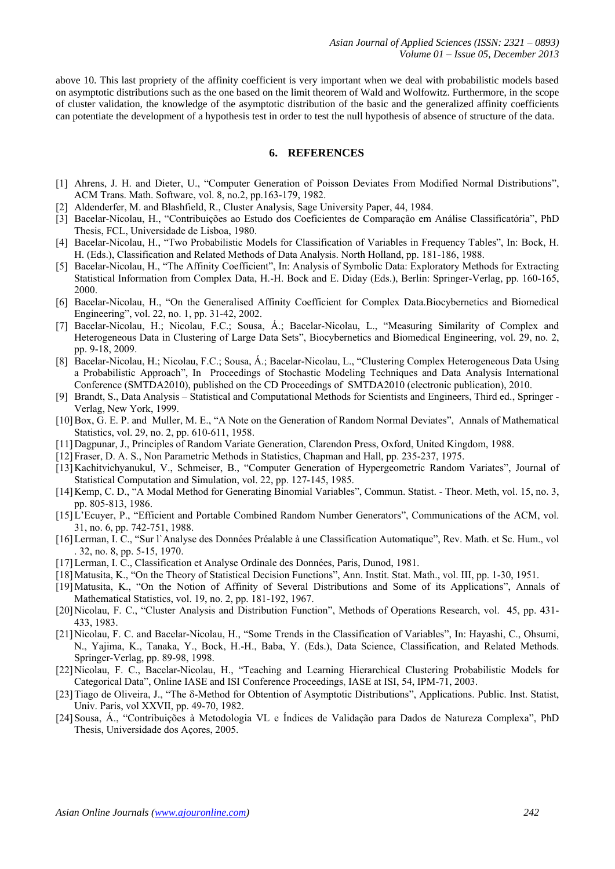above 10. This last propriety of the affinity coefficient is very important when we deal with probabilistic models based on asymptotic distributions such as the one based on the limit theorem of Wald and Wolfowitz. Furthermore, in the scope of cluster validation, the knowledge of the asymptotic distribution of the basic and the generalized affinity coefficients can potentiate the development of a hypothesis test in order to test the null hypothesis of absence of structure of the data.

### **6. REFERENCES**

- [1] Ahrens, J. H. and Dieter, U., "Computer Generation of Poisson Deviates From Modified Normal Distributions", ACM Trans. Math. Software, vol. 8, no.2, pp.163-179, 1982.
- [2] Aldenderfer, M. and Blashfield, R., Cluster Analysis, Sage University Paper, 44, 1984.
- [3] Bacelar-Nicolau, H., "Contribuições ao Estudo dos Coeficientes de Comparação em Análise Classificatória", PhD Thesis, FCL, Universidade de Lisboa, 1980.
- [4] Bacelar-Nicolau, H., "Two Probabilistic Models for Classification of Variables in Frequency Tables", In: Bock, H. H. (Eds.), Classification and Related Methods of Data Analysis. North Holland, pp. 181-186, 1988.
- [5] Bacelar-Nicolau, H., "The Affinity Coefficient", In: Analysis of Symbolic Data: Exploratory Methods for Extracting Statistical Information from Complex Data, H.-H. Bock and E. Diday (Eds.), Berlin: Springer-Verlag, pp. 160-165, 2000.
- [6] Bacelar-Nicolau, H., "On the Generalised Affinity Coefficient for Complex Data.Biocybernetics and Biomedical Engineering", vol. 22, no. 1, pp. 31-42, 2002.
- [7] Bacelar-Nicolau, H.; Nicolau, F.C.; Sousa, Á.; Bacelar-Nicolau, L., "Measuring Similarity of Complex and Heterogeneous Data in Clustering of Large Data Sets", Biocybernetics and Biomedical Engineering, vol. 29, no. 2, pp. 9-18, 2009.
- [8] Bacelar-Nicolau, H.; Nicolau, F.C.; Sousa, Á.; Bacelar-Nicolau, L., "Clustering Complex Heterogeneous Data Using a Probabilistic Approach", In Proceedings of Stochastic Modeling Techniques and Data Analysis International Conference (SMTDA2010), published on the CD Proceedings of SMTDA2010 (electronic publication), 2010.
- [9] Brandt, S., Data Analysis Statistical and Computational Methods for Scientists and Engineers, Third ed., Springer Verlag, New York, 1999.
- [10]Box, G. E. P. and Muller, M. E., "A Note on the Generation of Random Normal Deviates", Annals of Mathematical Statistics, vol. 29, no. 2, pp. 610-611, 1958.
- [11]Dagpunar, J., Principles of Random Variate Generation, Clarendon Press, Oxford, United Kingdom, 1988.
- [12]Fraser, D. A. S., Non Parametric Methods in Statistics, Chapman and Hall, pp. 235-237, 1975.
- [13]Kachitvichyanukul, V., Schmeiser, B., "Computer Generation of Hypergeometric Random Variates", Journal of Statistical Computation and Simulation, vol. 22, pp. 127-145, 1985.
- [14]Kemp, C. D., "A Modal Method for Generating Binomial Variables", Commun. Statist. Theor. Meth, vol. 15, no. 3, pp. 805-813, 1986.
- [15]L'Ecuyer, P., "Efficient and Portable Combined Random Number Generators", Communications of the ACM, vol. 31, no. 6, pp. 742-751, 1988.
- [16]Lerman, I. C., "Sur l`Analyse des Données Préalable à une Classification Automatique", Rev. Math. et Sc. Hum., vol . 32, no. 8, pp. 5-15, 1970.
- [17]Lerman, I. C., Classification et Analyse Ordinale des Données, Paris, Dunod, 1981.
- [18] Matusita, K., "On the Theory of Statistical Decision Functions", Ann. Instit. Stat. Math., vol. III, pp. 1-30, 1951.
- [19]Matusita, K., "On the Notion of Affinity of Several Distributions and Some of its Applications", Annals of Mathematical Statistics, vol. 19, no. 2, pp. 181-192, 1967.
- [20]Nicolau, F. C., "Cluster Analysis and Distribution Function", Methods of Operations Research, vol. 45, pp. 431- 433, 1983.
- [21]Nicolau, F. C. and Bacelar-Nicolau, H., "Some Trends in the Classification of Variables", In: Hayashi, C., Ohsumi, N., Yajima, K., Tanaka, Y., Bock, H.-H., Baba, Y. (Eds.), Data Science, Classification, and Related Methods. Springer-Verlag, pp. 89-98, 1998.
- [22]Nicolau, F. C., Bacelar-Nicolau, H., "Teaching and Learning Hierarchical Clustering Probabilistic Models for Categorical Data", Online IASE and ISI Conference Proceedings, IASE at ISI, 54, IPM-71, 2003.
- [23] Tiago de Oliveira, J., "The  $\delta$ -Method for Obtention of Asymptotic Distributions", Applications. Public. Inst. Statist, Univ. Paris, vol XXVII, pp. 49-70, 1982.
- [24]Sousa, Á., "Contribuições à Metodologia VL e Índices de Validação para Dados de Natureza Complexa", PhD Thesis, Universidade dos Açores, 2005.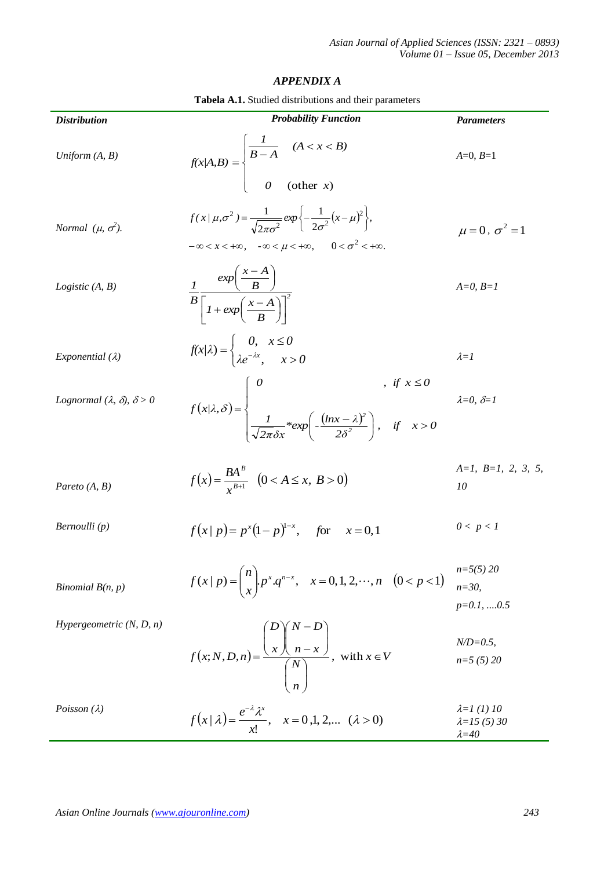## *APPENDIX A*

| <b>Distribution</b>                          | <b>Probability Function</b>                                                                                                                                                               | <b>Parameters</b>                             |
|----------------------------------------------|-------------------------------------------------------------------------------------------------------------------------------------------------------------------------------------------|-----------------------------------------------|
| Uniform $(A, B)$                             | $f(x A,B) = \begin{cases} \frac{1}{B-A} & (A < x < B) \\ 0 & (\text{other } x) \end{cases}$                                                                                               | $A=0, B=1$                                    |
|                                              |                                                                                                                                                                                           |                                               |
| Normal $(\mu, \sigma^2)$ .                   | $f(x/\mu, \sigma^2) = \frac{1}{\sqrt{2\pi\sigma^2}} exp\left\{-\frac{1}{2\sigma^2}(x-\mu)^2\right\},$<br>$-\infty < x < +\infty$ , $-\infty < \mu < +\infty$ , $0 < \sigma^2 < +\infty$ . | $\mu = 0$ , $\sigma^2 = 1$                    |
| Logistic $(A, B)$                            | $\frac{1}{B}\frac{exp\left(\frac{x-A}{B}\right)}{\left[1+exp\left(\frac{x-A}{B}\right)\right]^2}$                                                                                         | $A=0, B=1$                                    |
| Exponential $(\lambda)$                      | $f(x/\lambda) = \begin{cases} 0, & x \leq 0 \\ \lambda e^{-\lambda x} & x > 0 \end{cases}$                                                                                                | $\lambda = I$                                 |
| Lognormal $(\lambda, \delta)$ , $\delta > 0$ | $f(x \lambda, \delta) = \begin{cases} 0 & ,if x \leq 0 \\ \frac{1}{\sqrt{2\pi}\delta x} * exp\left(-\frac{(\ln x - \lambda)^2}{2\delta^2}\right), & if x > 0 \end{cases}$                 | $\lambda=0, \delta=1$                         |
| Pareto $(A, B)$                              | $f(x) = \frac{BA^B}{x^{B+1}}$ $(0 < A \le x, B > 0)$                                                                                                                                      | $A=I, B=I, 2, 3, 5,$<br>10                    |
| Bernoulli (p)                                | $f(x p) = p^{x}(1-p)^{1-x}$ , for $x = 0,1$                                                                                                                                               | 0 < p < 1                                     |
| Binomial $B(n, p)$                           | $f(x   p) = {n \choose x} p^x \cdot q^{n-x}, \quad x = 0, 1, 2, \dots, n \quad (0 < p < 1)$                                                                                               | $n=5(5)$ 20<br>$n = 30$<br>$p=0.1, \dots 0.5$ |
| Hypergeometric $(N, D, n)$                   | $f(x; N, D, n) = \frac{\begin{bmatrix} 1 & x \\ x & n-x \end{bmatrix}}{\begin{bmatrix} N \\ n \end{bmatrix}}$ , with $x \in V$                                                            | $N/D = 0.5$ ,<br>$n=5(5)20$                   |
| Poisson $(\lambda)$                          | $f(x   \lambda) = \frac{e^{-\lambda} \lambda^{x}}{1}$ , $x = 0,1,2,$ $(\lambda > 0)$                                                                                                      | $\lambda = 1$ (1) 10<br>$\lambda = 15(5)30$   |

!

*x*

 $\lambda = 40$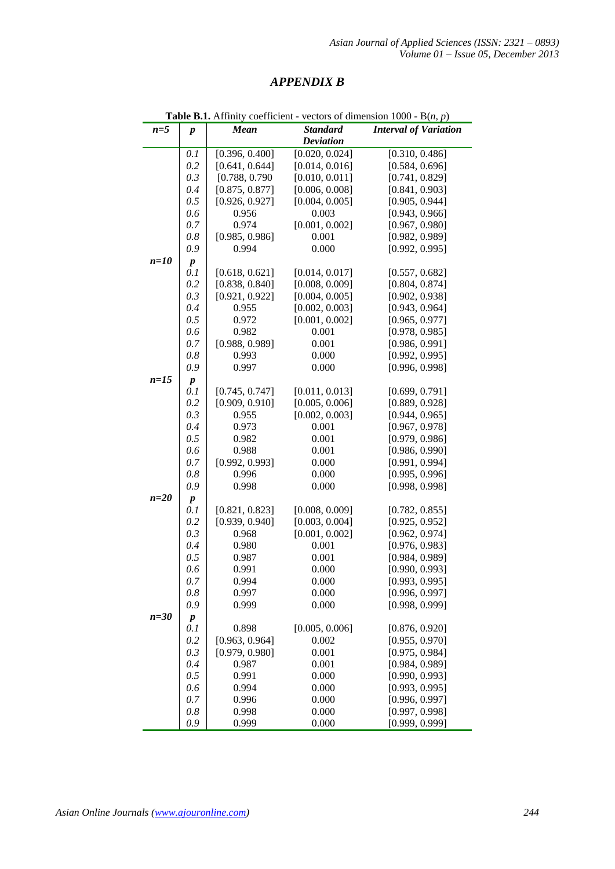## *APPENDIX B*

|        | <b>Table B.1.</b> Affinity coefficient - vectors of dimension 1000 - $B(n, p)$ |                |                                     |                              |  |  |
|--------|--------------------------------------------------------------------------------|----------------|-------------------------------------|------------------------------|--|--|
| $n=5$  | $\boldsymbol{p}$                                                               | <b>Mean</b>    | <b>Standard</b><br><b>Deviation</b> | <b>Interval of Variation</b> |  |  |
|        | 0.1                                                                            | [0.396, 0.400] | [0.020, 0.024]                      | [0.310, 0.486]               |  |  |
|        | 0.2                                                                            | [0.641, 0.644] | [0.014, 0.016]                      | [0.584, 0.696]               |  |  |
|        | 0.3                                                                            | [0.788, 0.790] | [0.010, 0.011]                      | [0.741, 0.829]               |  |  |
|        | 0.4                                                                            | [0.875, 0.877] | [0.006, 0.008]                      | [0.841, 0.903]               |  |  |
|        | 0.5                                                                            | [0.926, 0.927] | [0.004, 0.005]                      | [0.905, 0.944]               |  |  |
|        | 0.6                                                                            | 0.956          | 0.003                               | [0.943, 0.966]               |  |  |
|        | 0.7                                                                            | 0.974          | [0.001, 0.002]                      | [0.967, 0.980]               |  |  |
|        | $0.8\,$                                                                        | [0.985, 0.986] | 0.001                               | [0.982, 0.989]               |  |  |
|        | 0.9                                                                            | 0.994          | 0.000                               | [0.992, 0.995]               |  |  |
| $n=10$ | $\pmb{p}$                                                                      |                |                                     |                              |  |  |
|        | 0.1                                                                            | [0.618, 0.621] | [0.014, 0.017]                      | [0.557, 0.682]               |  |  |
|        | 0.2                                                                            | [0.838, 0.840] | [0.008, 0.009]                      | [0.804, 0.874]               |  |  |
|        | 0.3                                                                            | [0.921, 0.922] | [0.004, 0.005]                      | [0.902, 0.938]               |  |  |
|        | 0.4                                                                            | 0.955          | [0.002, 0.003]                      | [0.943, 0.964]               |  |  |
|        | 0.5                                                                            | 0.972          | [0.001, 0.002]                      | [0.965, 0.977]               |  |  |
|        | 0.6                                                                            | 0.982          | 0.001                               | [0.978, 0.985]               |  |  |
|        | 0.7                                                                            | [0.988, 0.989] | 0.001                               | [0.986, 0.991]               |  |  |
|        | 0.8                                                                            | 0.993          | 0.000                               | [0.992, 0.995]               |  |  |
|        | 0.9                                                                            | 0.997          | 0.000                               | [0.996, 0.998]               |  |  |
| $n=15$ | $\boldsymbol{p}$                                                               |                |                                     |                              |  |  |
|        | 0.1                                                                            | [0.745, 0.747] | [0.011, 0.013]                      | [0.699, 0.791]               |  |  |
|        | 0.2                                                                            | [0.909, 0.910] | [0.005, 0.006]                      | [0.889, 0.928]               |  |  |
|        | 0.3                                                                            | 0.955          | [0.002, 0.003]                      | [0.944, 0.965]               |  |  |
|        | 0.4                                                                            | 0.973          | 0.001                               | [0.967, 0.978]               |  |  |
|        | 0.5                                                                            | 0.982          | 0.001                               | [0.979, 0.986]               |  |  |
|        | 0.6                                                                            | 0.988          | 0.001                               | [0.986, 0.990]               |  |  |
|        | 0.7                                                                            | [0.992, 0.993] | 0.000                               | [0.991, 0.994]               |  |  |
|        | 0.8                                                                            | 0.996          | 0.000                               | [0.995, 0.996]               |  |  |
|        | 0.9                                                                            | 0.998          | 0.000                               | [0.998, 0.998]               |  |  |
| $n=20$ | $\pmb{p}$                                                                      |                |                                     |                              |  |  |
|        | 0.1                                                                            | [0.821, 0.823] | [0.008, 0.009]                      | [0.782, 0.855]               |  |  |
|        | 0.2                                                                            | [0.939, 0.940] | [0.003, 0.004]                      | [0.925, 0.952]               |  |  |
|        | 0.3                                                                            | 0.968          | [0.001, 0.002]                      | [0.962, 0.974]               |  |  |
|        | 0.4                                                                            | 0.980          | 0.001                               | [0.976, 0.983]               |  |  |
|        | 0.5                                                                            | 0.987          | 0.001                               | [0.984, 0.989]               |  |  |
|        | 0.6                                                                            | 0.991          | 0.000                               | [0.990, 0.993]               |  |  |
|        | 0.7                                                                            | 0.994          | 0.000                               | [0.993, 0.995]               |  |  |
|        | 0.8                                                                            | 0.997          | 0.000                               | [0.996, 0.997]               |  |  |
|        | 0.9                                                                            | 0.999          | 0.000                               | [0.998, 0.999]               |  |  |
| $n=30$ | $\pmb{p}$                                                                      |                |                                     |                              |  |  |
|        | 0.1                                                                            | 0.898          | [0.005, 0.006]                      | [0.876, 0.920]               |  |  |
|        | 0.2                                                                            | [0.963, 0.964] | 0.002                               | [0.955, 0.970]               |  |  |
|        | 0.3                                                                            | [0.979, 0.980] | 0.001                               | [0.975, 0.984]               |  |  |
|        | 0.4                                                                            | 0.987          | 0.001                               | [0.984, 0.989]               |  |  |
|        | 0.5                                                                            | 0.991          | 0.000                               | [0.990, 0.993]               |  |  |
|        | 0.6                                                                            | 0.994          | 0.000                               | [0.993, 0.995]               |  |  |
|        | 0.7                                                                            | 0.996          | 0.000                               | [0.996, 0.997]               |  |  |
|        | 0.8                                                                            | 0.998          | 0.000                               | [0.997, 0.998]               |  |  |
|        | 0.9                                                                            | 0.999          | 0.000                               | [0.999, 0.999]               |  |  |

**Table B.1.** Affinity coefficient - vectors of dimension 1000 -  $B(n, p)$